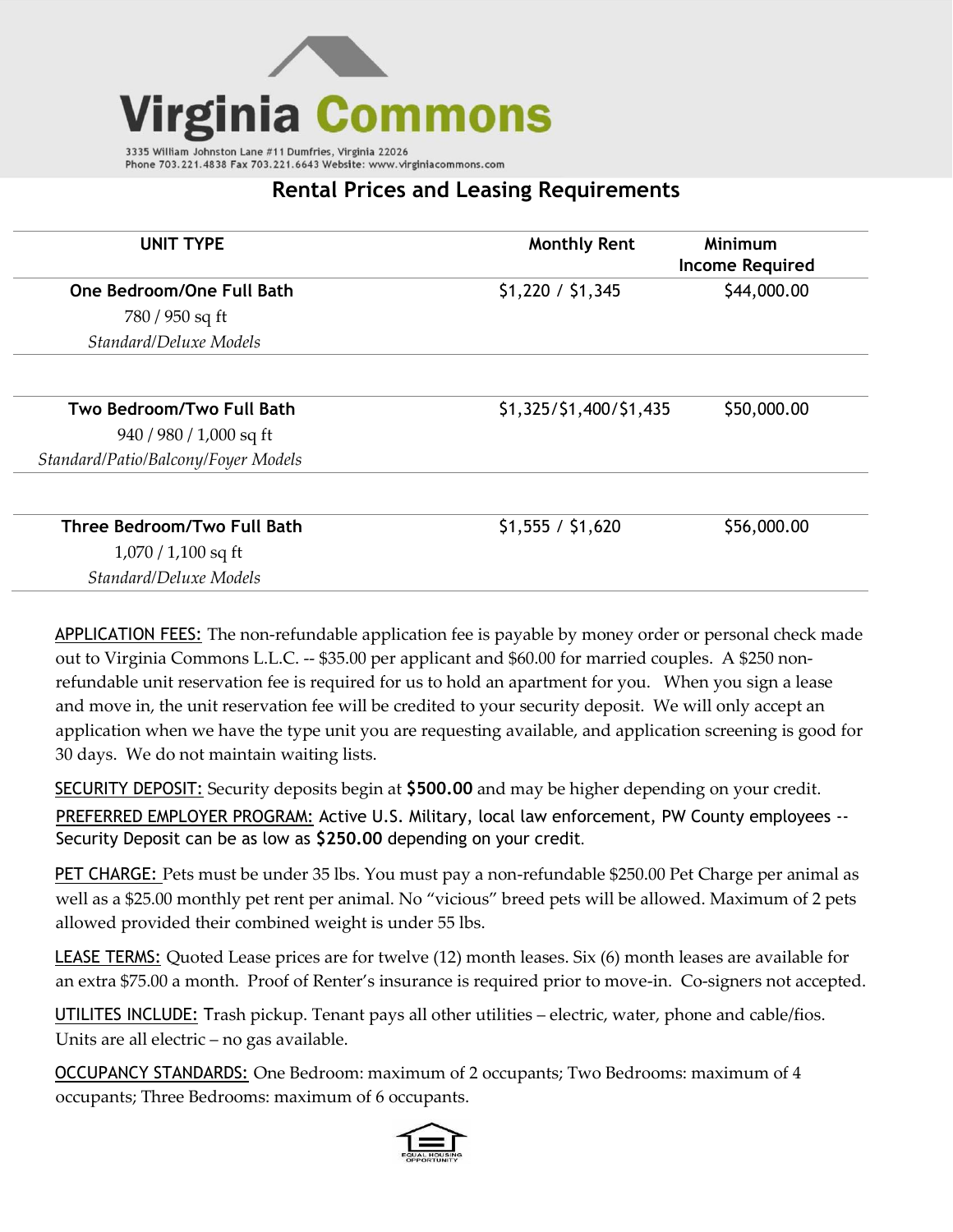

Phone 703.221.4838 Fax 703.221.6643 Website: www.virginiacommons.com

## **Rental Prices and Leasing Requirements**

| <b>UNIT TYPE</b>                    | <b>Monthly Rent</b>     | Minimum<br><b>Income Required</b> |
|-------------------------------------|-------------------------|-----------------------------------|
| One Bedroom/One Full Bath           | \$1,220 / \$1,345       | \$44,000.00                       |
| 780 / 950 sq ft                     |                         |                                   |
| Standard/Deluxe Models              |                         |                                   |
| Two Bedroom/Two Full Bath           | \$1,325/\$1,400/\$1,435 | \$50,000.00                       |
| $940 / 980 / 1,000$ sq ft           |                         |                                   |
| Standard/Patio/Balcony/Foyer Models |                         |                                   |
| Three Bedroom/Two Full Bath         | \$1,555 / \$1,620       | \$56,000.00                       |
| $1,070/1,100$ sq ft                 |                         |                                   |
| Standard/Deluxe Models              |                         |                                   |

APPLICATION FEES: The non-refundable application fee is payable by money order or personal check made out to Virginia Commons L.L.C. -- \$35.00 per applicant and \$60.00 for married couples. A \$250 nonrefundable unit reservation fee is required for us to hold an apartment for you. When you sign a lease and move in, the unit reservation fee will be credited to your security deposit. We will only accept an application when we have the type unit you are requesting available, and application screening is good for 30 days. We do not maintain waiting lists.

SECURITY DEPOSIT: Security deposits begin at **\$500.00** and may be higher depending on your credit.

PREFERRED EMPLOYER PROGRAM: Active U.S. Military, local law enforcement, PW County employees -- Security Deposit can be as low as **\$250.00** depending on your credit.

PET CHARGE: Pets must be under 35 lbs. You must pay a non-refundable \$250.00 Pet Charge per animal as well as a \$25.00 monthly pet rent per animal. No "vicious" breed pets will be allowed. Maximum of 2 pets allowed provided their combined weight is under 55 lbs.

LEASE TERMS: Quoted Lease prices are for twelve (12) month leases. Six (6) month leases are available for an extra \$75.00 a month. Proof of Renter's insurance is required prior to move-in. Co-signers not accepted.

UTILITES INCLUDE: Trash pickup. Tenant pays all other utilities – electric, water, phone and cable/fios. Units are all electric – no gas available.

OCCUPANCY STANDARDS: One Bedroom: maximum of 2 occupants; Two Bedrooms: maximum of 4 occupants; Three Bedrooms: maximum of 6 occupants.